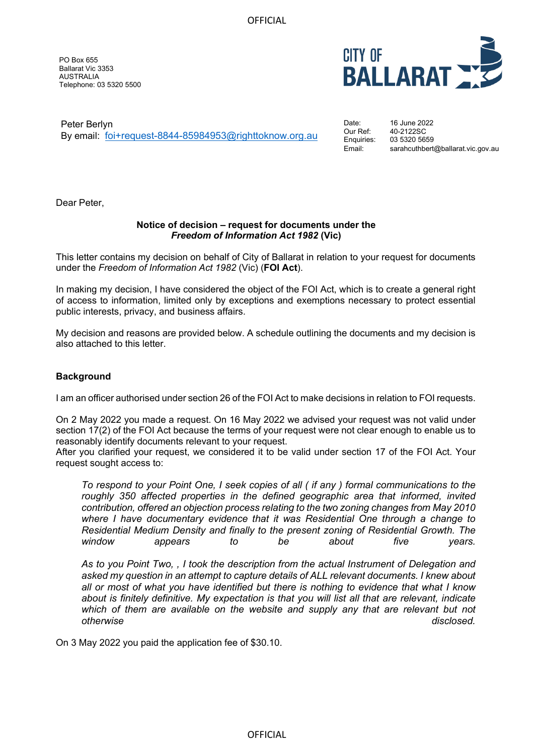**OFFICIAL** 

PO Box 655 Ballarat Vic 3353 AUSTRALIA Telephone: 03 5320 5500



Peter Berlyn By email: [foi+request-8844-85984953@righttoknow.org.au](mailto:xxxxxxxxxxxxxxxxxxxxxxxxx@xxxxxxxxxxx.xxx.xx) Date: Our Ref: Enquiries:

16 June 2022 40-2122SC 03 5320 5659 Email: sarahcuthbert@ballarat.vic.gov.au

Dear Peter,

# **Notice of decision – request for documents under the**  *Freedom of Information Act 1982* **(Vic)**

This letter contains my decision on behalf of City of Ballarat in relation to your request for documents under the *Freedom of Information Act 1982* (Vic) (**FOI Act**).

In making my decision, I have considered the object of the FOI Act, which is to create a general right of access to information, limited only by exceptions and exemptions necessary to protect essential public interests, privacy, and business affairs.

My decision and reasons are provided below. A schedule outlining the documents and my decision is also attached to this letter.

# **Background**

I am an officer authorised under section 26 of the FOI Act to make decisions in relation to FOI requests.

On 2 May 2022 you made a request. On 16 May 2022 we advised your request was not valid under section 17(2) of the FOI Act because the terms of your request were not clear enough to enable us to reasonably identify documents relevant to your request.

After you clarified your request, we considered it to be valid under section 17 of the FOI Act. Your request sought access to:

*To respond to your Point One, I seek copies of all ( if any ) formal communications to the roughly 350 affected properties in the defined geographic area that informed, invited contribution, offered an objection process relating to the two zoning changes from May 2010 where I have documentary evidence that it was Residential One through a change to Residential Medium Density and finally to the present zoning of Residential Growth. The window appears to be about five years.*

*As to you Point Two, , I took the description from the actual Instrument of Delegation and asked my question in an attempt to capture details of ALL relevant documents. I knew about all or most of what you have identified but there is nothing to evidence that what I know about is finitely definitive. My expectation is that you will list all that are relevant, indicate which of them are available on the website and supply any that are relevant but not otherwise disclosed.*

On 3 May 2022 you paid the application fee of \$30.10.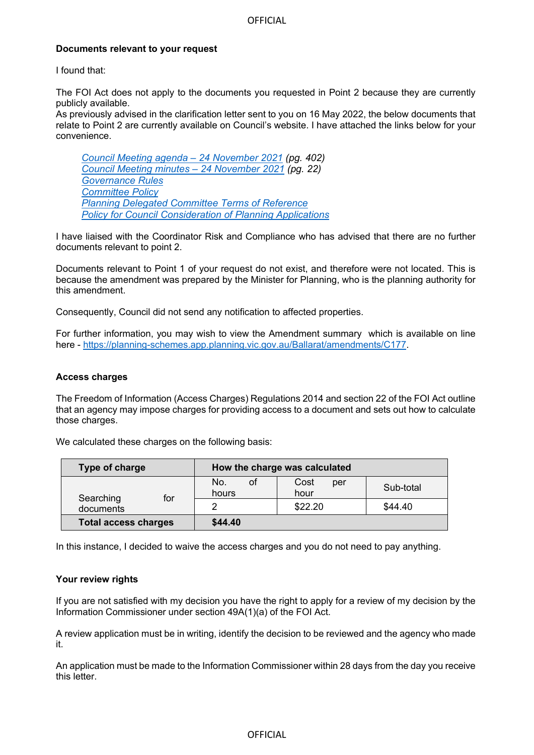# **Documents relevant to your request**

I found that:

The FOI Act does not apply to the documents you requested in Point 2 because they are currently publicly available.

As previously advised in the clarification letter sent to you on 16 May 2022, the below documents that relate to Point 2 are currently available on Council's website. I have attached the links below for your convenience.

*[Council Meeting agenda – 24 November 2021](https://www.ballarat.vic.gov.au/sites/default/files/2021-11/Updated%2024%20November%202021%20Council%20Meeting%20Agenda%20with%20attachments_Part5_0.pdf) (pg. 402) [Council Meeting minutes – 24 November 2021](https://www.ballarat.vic.gov.au/sites/default/files/2021-12/Confirmed%20Minutes%20-%2024%20November%202021%20Council%20Meeting.pdf) (pg. 22) [Governance Rules](https://www.ballarat.vic.gov.au/sites/default/files/2020-09/Governance%20Rules%202020.pdf) [Committee Policy](https://www.ballarat.vic.gov.au/sites/default/files/2021-09/Committee%20Policy.pdf) [Planning Delegated Committee Terms of Reference](https://www.ballarat.vic.gov.au/sites/default/files/2020-09/Planning%20Delegated%20Committee%20TOR.pdf) [Policy for Council Consideration of Planning Applications](https://www.ballarat.vic.gov.au/sites/default/files/2019-04/Consideration%20of%20Planning%20Application.pdf)*

I have liaised with the Coordinator Risk and Compliance who has advised that there are no further documents relevant to point 2.

Documents relevant to Point 1 of your request do not exist, and therefore were not located. This is because the amendment was prepared by the Minister for Planning, who is the planning authority for this amendment.

Consequently, Council did not send any notification to affected properties.

For further information, you may wish to view the Amendment summary which is available on line here - [https://planning-schemes.app.planning.vic.gov.au/Ballarat/amendments/C177.](https://planning-schemes.app.planning.vic.gov.au/Ballarat/amendments/C177)

### **Access charges**

The Freedom of Information (Access Charges) Regulations 2014 and section 22 of the FOI Act outline that an agency may impose charges for providing access to a document and sets out how to calculate those charges.

We calculated these charges on the following basis:

| Type of charge                |                    | How the charge was calculated |           |
|-------------------------------|--------------------|-------------------------------|-----------|
| Searching<br>for<br>documents | No.<br>οt<br>hours | Cost<br>per<br>hour           | Sub-total |
|                               |                    | \$22.20                       | \$44.40   |
| <b>Total access charges</b>   | \$44.40            |                               |           |

In this instance, I decided to waive the access charges and you do not need to pay anything.

# **Your review rights**

If you are not satisfied with my decision you have the right to apply for a review of my decision by the Information Commissioner under section 49A(1)(a) of the FOI Act.

A review application must be in writing, identify the decision to be reviewed and the agency who made it.

An application must be made to the Information Commissioner within 28 days from the day you receive this letter.